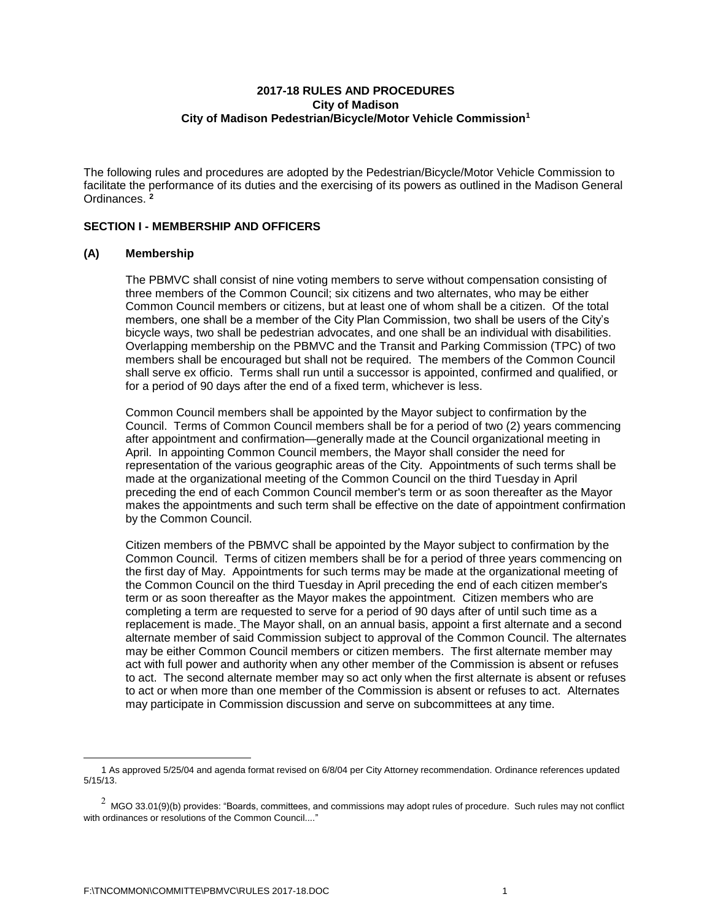## **2017-18 RULES AND PROCEDURES City of Madison City of Madison Pedestrian/Bicycle/Motor Vehicle Commission<sup>1</sup>**

The following rules and procedures are adopted by the Pedestrian/Bicycle/Motor Vehicle Commission to facilitate the performance of its duties and the exercising of its powers as outlined in the Madison General Ordinances. **<sup>2</sup>**

## **SECTION I - MEMBERSHIP AND OFFICERS**

## **(A) Membership**

The PBMVC shall consist of nine voting members to serve without compensation consisting of three members of the Common Council; six citizens and two alternates, who may be either Common Council members or citizens, but at least one of whom shall be a citizen. Of the total members, one shall be a member of the City Plan Commission, two shall be users of the City's bicycle ways, two shall be pedestrian advocates, and one shall be an individual with disabilities. Overlapping membership on the PBMVC and the Transit and Parking Commission (TPC) of two members shall be encouraged but shall not be required. The members of the Common Council shall serve ex officio. Terms shall run until a successor is appointed, confirmed and qualified, or for a period of 90 days after the end of a fixed term, whichever is less.

Common Council members shall be appointed by the Mayor subject to confirmation by the Council. Terms of Common Council members shall be for a period of two (2) years commencing after appointment and confirmation—generally made at the Council organizational meeting in April. In appointing Common Council members, the Mayor shall consider the need for representation of the various geographic areas of the City. Appointments of such terms shall be made at the organizational meeting of the Common Council on the third Tuesday in April preceding the end of each Common Council member's term or as soon thereafter as the Mayor makes the appointments and such term shall be effective on the date of appointment confirmation by the Common Council.

Citizen members of the PBMVC shall be appointed by the Mayor subject to confirmation by the Common Council. Terms of citizen members shall be for a period of three years commencing on the first day of May. Appointments for such terms may be made at the organizational meeting of the Common Council on the third Tuesday in April preceding the end of each citizen member's term or as soon thereafter as the Mayor makes the appointment. Citizen members who are completing a term are requested to serve for a period of 90 days after of until such time as a replacement is made. The Mayor shall, on an annual basis, appoint a first alternate and a second alternate member of said Commission subject to approval of the Common Council. The alternates may be either Common Council members or citizen members. The first alternate member may act with full power and authority when any other member of the Commission is absent or refuses to act. The second alternate member may so act only when the first alternate is absent or refuses to act or when more than one member of the Commission is absent or refuses to act. Alternates may participate in Commission discussion and serve on subcommittees at any time.

 <sup>1</sup> As approved 5/25/04 and agenda format revised on 6/8/04 per City Attorney recommendation. Ordinance references updated 5/15/13.

 $^2$  MGO 33.01(9)(b) provides: "Boards, committees, and commissions may adopt rules of procedure. Such rules may not conflict with ordinances or resolutions of the Common Council...."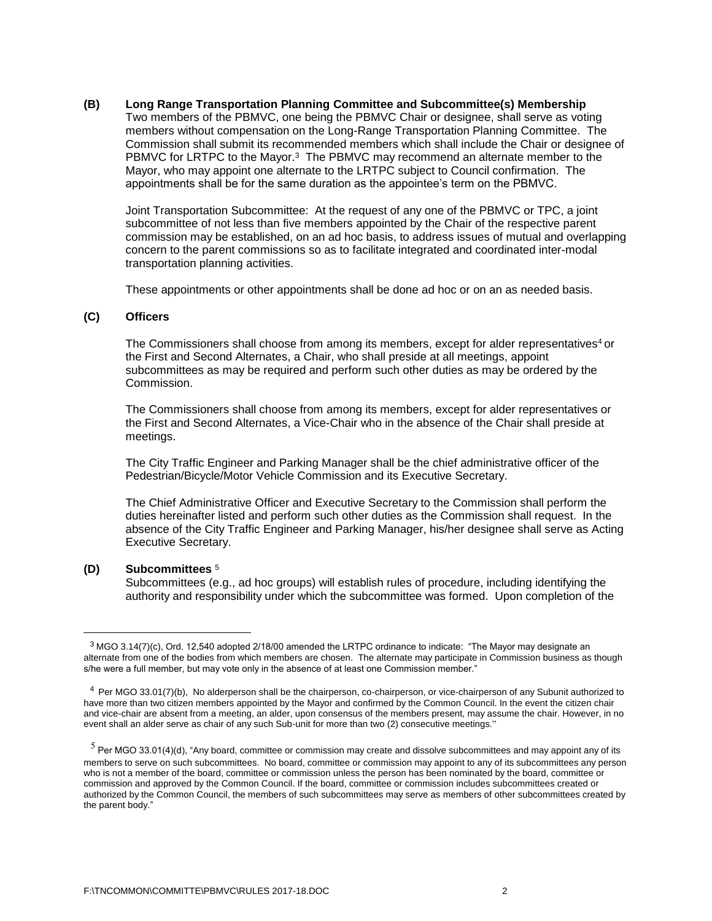**(B) Long Range Transportation Planning Committee and Subcommittee(s) Membership** Two members of the PBMVC, one being the PBMVC Chair or designee, shall serve as voting members without compensation on the Long-Range Transportation Planning Committee. The Commission shall submit its recommended members which shall include the Chair or designee of PBMVC for LRTPC to the Mayor. $3$  The PBMVC may recommend an alternate member to the Mayor, who may appoint one alternate to the LRTPC subject to Council confirmation. The appointments shall be for the same duration as the appointee's term on the PBMVC.

Joint Transportation Subcommittee: At the request of any one of the PBMVC or TPC, a joint subcommittee of not less than five members appointed by the Chair of the respective parent commission may be established, on an ad hoc basis, to address issues of mutual and overlapping concern to the parent commissions so as to facilitate integrated and coordinated inter-modal transportation planning activities.

These appointments or other appointments shall be done ad hoc or on an as needed basis.

### **(C) Officers**

The Commissioners shall choose from among its members, except for alder representatives<sup>4</sup> or the First and Second Alternates, a Chair, who shall preside at all meetings, appoint subcommittees as may be required and perform such other duties as may be ordered by the Commission.

The Commissioners shall choose from among its members, except for alder representatives or the First and Second Alternates, a Vice-Chair who in the absence of the Chair shall preside at meetings.

The City Traffic Engineer and Parking Manager shall be the chief administrative officer of the Pedestrian/Bicycle/Motor Vehicle Commission and its Executive Secretary.

The Chief Administrative Officer and Executive Secretary to the Commission shall perform the duties hereinafter listed and perform such other duties as the Commission shall request. In the absence of the City Traffic Engineer and Parking Manager, his/her designee shall serve as Acting Executive Secretary.

### **(D) Subcommittees** <sup>5</sup>

 $\overline{a}$ 

Subcommittees (e.g., ad hoc groups) will establish rules of procedure, including identifying the authority and responsibility under which the subcommittee was formed. Upon completion of the

 $3$  MGO 3.14(7)(c), Ord. 12,540 adopted 2/18/00 amended the LRTPC ordinance to indicate: "The Mayor may designate an alternate from one of the bodies from which members are chosen. The alternate may participate in Commission business as though s/he were a full member, but may vote only in the absence of at least one Commission member."

<sup>4</sup>Per MGO 33.01(7)(b), No alderperson shall be the chairperson, co-chairperson, or vice-chairperson of any Subunit authorized to have more than two citizen members appointed by the Mayor and confirmed by the Common Council. In the event the citizen chair and vice-chair are absent from a meeting, an alder, upon consensus of the members present, may assume the chair. However, in no event shall an alder serve as chair of any such Sub-unit for more than two (2) consecutive meetings."

 $^5$  Per MGO 33.01(4)(d), "Any board, committee or commission may create and dissolve subcommittees and may appoint any of its members to serve on such subcommittees. No board, committee or commission may appoint to any of its subcommittees any person who is not a member of the board, committee or commission unless the person has been nominated by the board, committee or commission and approved by the Common Council. If the board, committee or commission includes subcommittees created or authorized by the Common Council, the members of such subcommittees may serve as members of other subcommittees created by the parent body."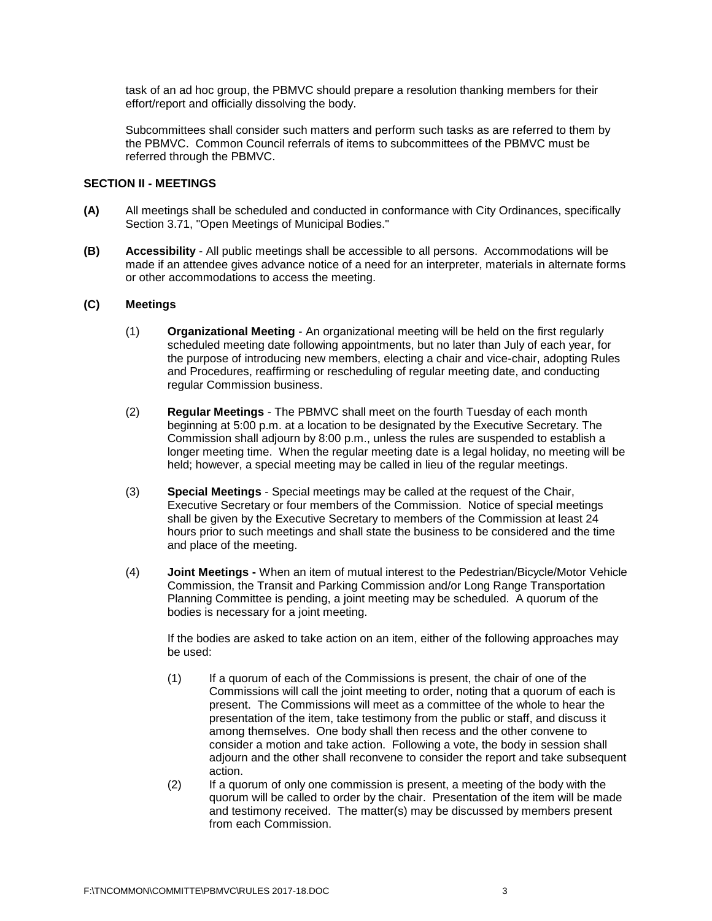task of an ad hoc group, the PBMVC should prepare a resolution thanking members for their effort/report and officially dissolving the body.

Subcommittees shall consider such matters and perform such tasks as are referred to them by the PBMVC. Common Council referrals of items to subcommittees of the PBMVC must be referred through the PBMVC.

### **SECTION II - MEETINGS**

- **(A)** All meetings shall be scheduled and conducted in conformance with City Ordinances, specifically Section 3.71, "Open Meetings of Municipal Bodies."
- **(B) Accessibility** All public meetings shall be accessible to all persons. Accommodations will be made if an attendee gives advance notice of a need for an interpreter, materials in alternate forms or other accommodations to access the meeting.

#### **(C) Meetings**

- (1) **Organizational Meeting** An organizational meeting will be held on the first regularly scheduled meeting date following appointments, but no later than July of each year, for the purpose of introducing new members, electing a chair and vice-chair, adopting Rules and Procedures, reaffirming or rescheduling of regular meeting date, and conducting regular Commission business.
- (2) **Regular Meetings** The PBMVC shall meet on the fourth Tuesday of each month beginning at 5:00 p.m. at a location to be designated by the Executive Secretary. The Commission shall adjourn by 8:00 p.m., unless the rules are suspended to establish a longer meeting time. When the regular meeting date is a legal holiday, no meeting will be held; however, a special meeting may be called in lieu of the regular meetings.
- (3) **Special Meetings** Special meetings may be called at the request of the Chair, Executive Secretary or four members of the Commission. Notice of special meetings shall be given by the Executive Secretary to members of the Commission at least 24 hours prior to such meetings and shall state the business to be considered and the time and place of the meeting.
- (4) **Joint Meetings -** When an item of mutual interest to the Pedestrian/Bicycle/Motor Vehicle Commission, the Transit and Parking Commission and/or Long Range Transportation Planning Committee is pending, a joint meeting may be scheduled. A quorum of the bodies is necessary for a joint meeting.

If the bodies are asked to take action on an item, either of the following approaches may be used:

- (1) If a quorum of each of the Commissions is present, the chair of one of the Commissions will call the joint meeting to order, noting that a quorum of each is present. The Commissions will meet as a committee of the whole to hear the presentation of the item, take testimony from the public or staff, and discuss it among themselves. One body shall then recess and the other convene to consider a motion and take action. Following a vote, the body in session shall adjourn and the other shall reconvene to consider the report and take subsequent action.
- (2) If a quorum of only one commission is present, a meeting of the body with the quorum will be called to order by the chair. Presentation of the item will be made and testimony received. The matter(s) may be discussed by members present from each Commission.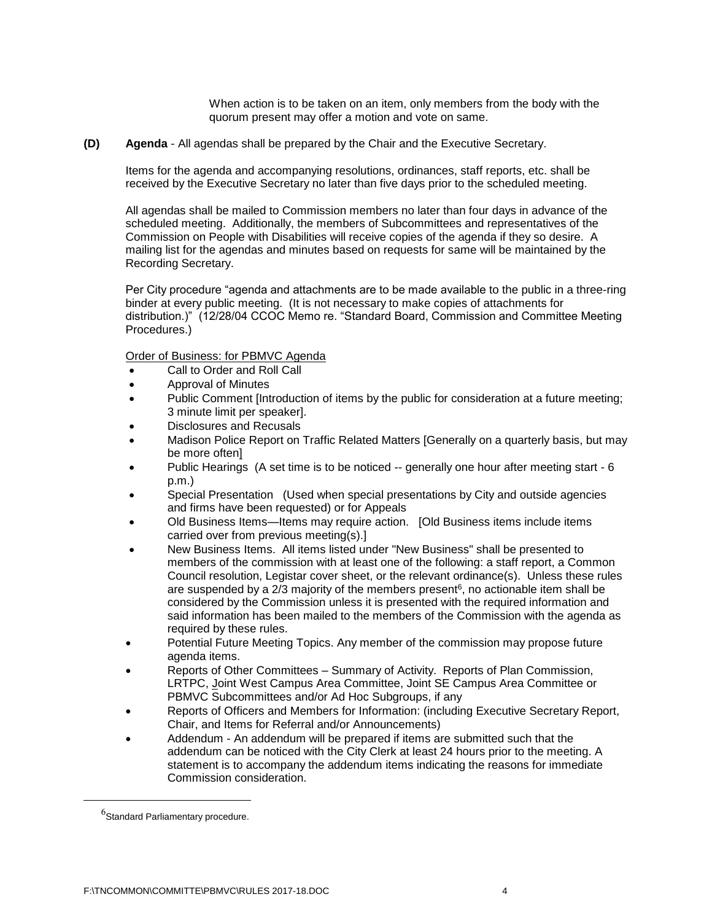When action is to be taken on an item, only members from the body with the quorum present may offer a motion and vote on same.

**(D) Agenda** - All agendas shall be prepared by the Chair and the Executive Secretary.

Items for the agenda and accompanying resolutions, ordinances, staff reports, etc. shall be received by the Executive Secretary no later than five days prior to the scheduled meeting.

All agendas shall be mailed to Commission members no later than four days in advance of the scheduled meeting. Additionally, the members of Subcommittees and representatives of the Commission on People with Disabilities will receive copies of the agenda if they so desire. A mailing list for the agendas and minutes based on requests for same will be maintained by the Recording Secretary.

Per City procedure "agenda and attachments are to be made available to the public in a three-ring binder at every public meeting. (It is not necessary to make copies of attachments for distribution.)" (12/28/04 CCOC Memo re. "Standard Board, Commission and Committee Meeting Procedures.)

Order of Business: for PBMVC Agenda

- Call to Order and Roll Call
- Approval of Minutes
- Public Comment [Introduction of items by the public for consideration at a future meeting; 3 minute limit per speaker].
- Disclosures and Recusals
- Madison Police Report on Traffic Related Matters [Generally on a quarterly basis, but may be more often]
- Public Hearings (A set time is to be noticed -- generally one hour after meeting start 6 p.m.)
- Special Presentation (Used when special presentations by City and outside agencies and firms have been requested) or for Appeals
- Old Business Items—Items may require action. [Old Business items include items carried over from previous meeting(s).]
- New Business Items. All items listed under "New Business" shall be presented to members of the commission with at least one of the following: a staff report, a Common Council resolution, Legistar cover sheet, or the relevant ordinance(s). Unless these rules are suspended by a 2/3 majority of the members present<sup>6</sup>, no actionable item shall be considered by the Commission unless it is presented with the required information and said information has been mailed to the members of the Commission with the agenda as required by these rules.
- Potential Future Meeting Topics. Any member of the commission may propose future agenda items.
- Reports of Other Committees Summary of Activity. Reports of Plan Commission, LRTPC, Joint West Campus Area Committee, Joint SE Campus Area Committee or PBMVC Subcommittees and/or Ad Hoc Subgroups, if any
- Reports of Officers and Members for Information: (including Executive Secretary Report, Chair, and Items for Referral and/or Announcements)
- Addendum An addendum will be prepared if items are submitted such that the addendum can be noticed with the City Clerk at least 24 hours prior to the meeting. A statement is to accompany the addendum items indicating the reasons for immediate Commission consideration.

 $^6$ Standard Parliamentary procedure.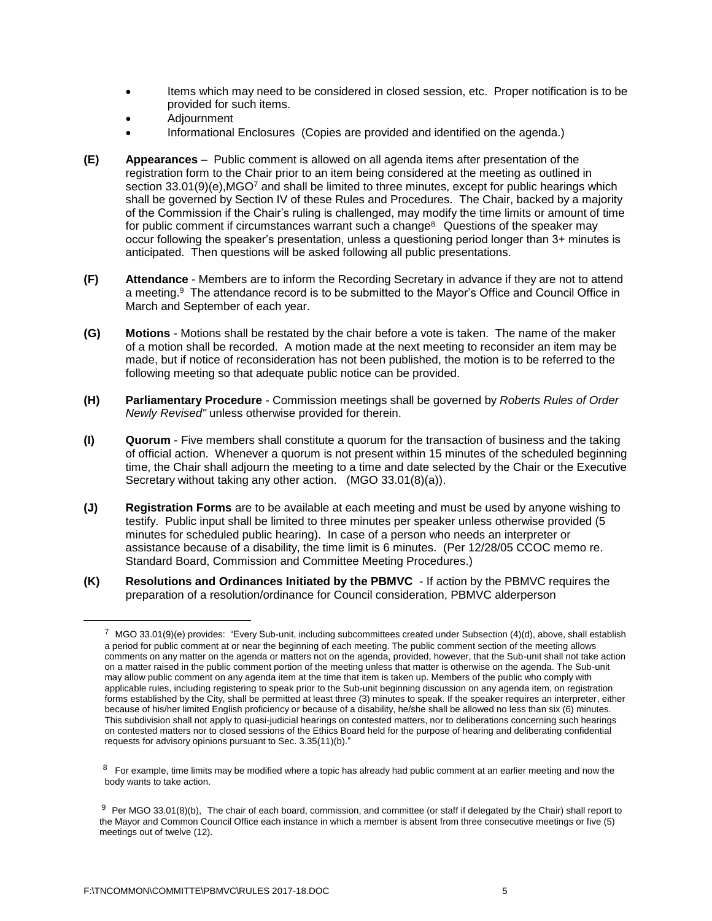- Items which may need to be considered in closed session, etc. Proper notification is to be provided for such items.
- Adjournment
- Informational Enclosures (Copies are provided and identified on the agenda.)
- **(E) Appearances** Public comment is allowed on all agenda items after presentation of the registration form to the Chair prior to an item being considered at the meeting as outlined in section 33.01(9)(e), MGO<sup>7</sup> and shall be limited to three minutes, except for public hearings which shall be governed by Section IV of these Rules and Procedures. The Chair, backed by a majority of the Commission if the Chair's ruling is challenged, may modify the time limits or amount of time for public comment if circumstances warrant such a change<sup>8.</sup> Questions of the speaker may occur following the speaker's presentation, unless a questioning period longer than 3+ minutes is anticipated. Then questions will be asked following all public presentations.
- **(F) Attendance** Members are to inform the Recording Secretary in advance if they are not to attend a meeting.<sup>9</sup> The attendance record is to be submitted to the Mayor's Office and Council Office in March and September of each year.
- **(G) Motions** Motions shall be restated by the chair before a vote is taken. The name of the maker of a motion shall be recorded. A motion made at the next meeting to reconsider an item may be made, but if notice of reconsideration has not been published, the motion is to be referred to the following meeting so that adequate public notice can be provided.
- **(H) Parliamentary Procedure** Commission meetings shall be governed by *Roberts Rules of Order Newly Revised"* unless otherwise provided for therein.
- **(I) Quorum** Five members shall constitute a quorum for the transaction of business and the taking of official action. Whenever a quorum is not present within 15 minutes of the scheduled beginning time, the Chair shall adjourn the meeting to a time and date selected by the Chair or the Executive Secretary without taking any other action. (MGO 33.01(8)(a)).
- **(J) Registration Forms** are to be available at each meeting and must be used by anyone wishing to testify. Public input shall be limited to three minutes per speaker unless otherwise provided (5 minutes for scheduled public hearing). In case of a person who needs an interpreter or assistance because of a disability, the time limit is 6 minutes. (Per 12/28/05 CCOC memo re. Standard Board, Commission and Committee Meeting Procedures.)
- **(K) Resolutions and Ordinances Initiated by the PBMVC**  If action by the PBMVC requires the preparation of a resolution/ordinance for Council consideration, PBMVC alderperson

 $^7$  MGO 33.01(9)(e) provides: "Every Sub-unit, including subcommittees created under Subsection (4)(d), above, shall establish a period for public comment at or near the beginning of each meeting. The public comment section of the meeting allows comments on any matter on the agenda or matters not on the agenda, provided, however, that the Sub-unit shall not take action on a matter raised in the public comment portion of the meeting unless that matter is otherwise on the agenda. The Sub-unit may allow public comment on any agenda item at the time that item is taken up. Members of the public who comply with applicable rules, including registering to speak prior to the Sub-unit beginning discussion on any agenda item, on registration forms established by the City, shall be permitted at least three (3) minutes to speak. If the speaker requires an interpreter, either because of his/her limited English proficiency or because of a disability, he/she shall be allowed no less than six (6) minutes. This subdivision shall not apply to quasi-judicial hearings on contested matters, nor to deliberations concerning such hearings on contested matters nor to closed sessions of the Ethics Board held for the purpose of hearing and deliberating confidential requests for advisory opinions pursuant to Sec. 3.35(11)(b)."

 $8$  For example, time limits may be modified where a topic has already had public comment at an earlier meeting and now the body wants to take action.

 $9$  Per MGO 33.01(8)(b), The chair of each board, commission, and committee (or staff if delegated by the Chair) shall report to the Mayor and Common Council Office each instance in which a member is absent from three consecutive meetings or five (5) meetings out of twelve (12).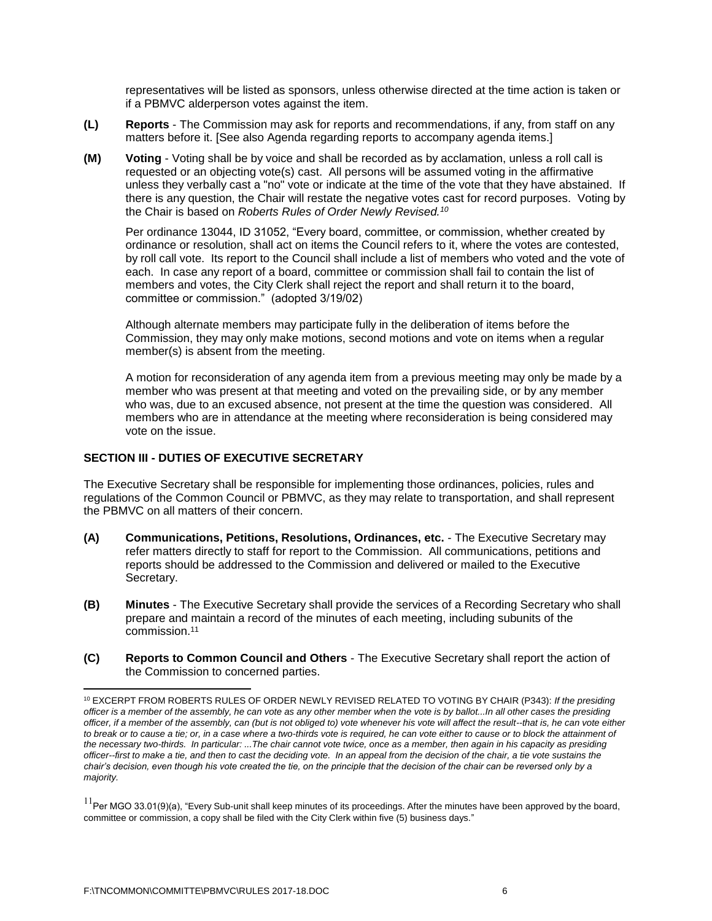representatives will be listed as sponsors, unless otherwise directed at the time action is taken or if a PBMVC alderperson votes against the item.

- **(L) Reports** The Commission may ask for reports and recommendations, if any, from staff on any matters before it. [See also Agenda regarding reports to accompany agenda items.]
- **(M) Voting** Voting shall be by voice and shall be recorded as by acclamation, unless a roll call is requested or an objecting vote(s) cast. All persons will be assumed voting in the affirmative unless they verbally cast a "no" vote or indicate at the time of the vote that they have abstained. If there is any question, the Chair will restate the negative votes cast for record purposes. Voting by the Chair is based on *Roberts Rules of Order Newly Revised.<sup>10</sup>*

Per ordinance 13044, ID 31052, "Every board, committee, or commission, whether created by ordinance or resolution, shall act on items the Council refers to it, where the votes are contested, by roll call vote. Its report to the Council shall include a list of members who voted and the vote of each. In case any report of a board, committee or commission shall fail to contain the list of members and votes, the City Clerk shall reject the report and shall return it to the board, committee or commission." (adopted 3/19/02)

Although alternate members may participate fully in the deliberation of items before the Commission, they may only make motions, second motions and vote on items when a regular member(s) is absent from the meeting.

A motion for reconsideration of any agenda item from a previous meeting may only be made by a member who was present at that meeting and voted on the prevailing side, or by any member who was, due to an excused absence, not present at the time the question was considered. All members who are in attendance at the meeting where reconsideration is being considered may vote on the issue.

## **SECTION III - DUTIES OF EXECUTIVE SECRETARY**

The Executive Secretary shall be responsible for implementing those ordinances, policies, rules and regulations of the Common Council or PBMVC, as they may relate to transportation, and shall represent the PBMVC on all matters of their concern.

- **(A) Communications, Petitions, Resolutions, Ordinances, etc.** The Executive Secretary may refer matters directly to staff for report to the Commission. All communications, petitions and reports should be addressed to the Commission and delivered or mailed to the Executive Secretary.
- **(B) Minutes** The Executive Secretary shall provide the services of a Recording Secretary who shall prepare and maintain a record of the minutes of each meeting, including subunits of the commission. 11
- **(C) Reports to Common Council and Others** The Executive Secretary shall report the action of the Commission to concerned parties.

<sup>10</sup> EXCERPT FROM ROBERTS RULES OF ORDER NEWLY REVISED RELATED TO VOTING BY CHAIR (P343): *If the presiding officer is a member of the assembly, he can vote as any other member when the vote is by ballot...In all other cases the presiding officer, if a member of the assembly, can (but is not obliged to) vote whenever his vote will affect the result--that is, he can vote either to break or to cause a tie; or, in a case where a two-thirds vote is required, he can vote either to cause or to block the attainment of the necessary two-thirds. In particular: ...The chair cannot vote twice, once as a member, then again in his capacity as presiding officer--first to make a tie, and then to cast the deciding vote. In an appeal from the decision of the chair, a tie vote sustains the chair's decision, even though his vote created the tie, on the principle that the decision of the chair can be reversed only by a majority.*

 $11$ Per MGO 33.01(9)(a), "Every Sub-unit shall keep minutes of its proceedings. After the minutes have been approved by the board, committee or commission, a copy shall be filed with the City Clerk within five (5) business days."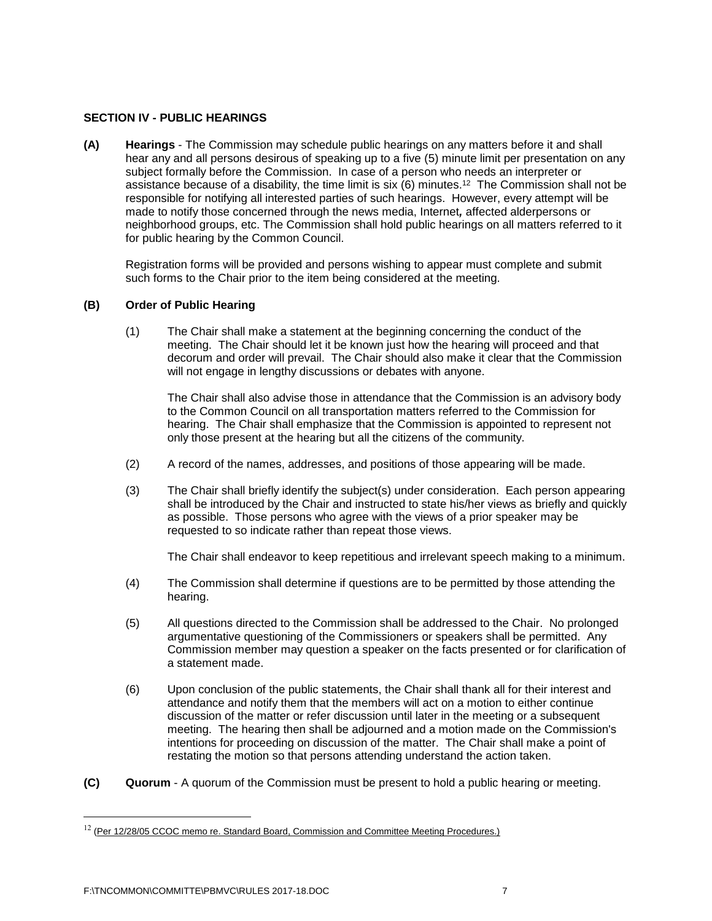### **SECTION IV - PUBLIC HEARINGS**

**(A) Hearings** - The Commission may schedule public hearings on any matters before it and shall hear any and all persons desirous of speaking up to a five (5) minute limit per presentation on any subject formally before the Commission. In case of a person who needs an interpreter or assistance because of a disability, the time limit is six (6) minutes.<sup>12</sup> The Commission shall not be responsible for notifying all interested parties of such hearings. However, every attempt will be made to notify those concerned through the news media, Internet*,* affected alderpersons or neighborhood groups, etc. The Commission shall hold public hearings on all matters referred to it for public hearing by the Common Council.

Registration forms will be provided and persons wishing to appear must complete and submit such forms to the Chair prior to the item being considered at the meeting.

## **(B) Order of Public Hearing**

(1) The Chair shall make a statement at the beginning concerning the conduct of the meeting. The Chair should let it be known just how the hearing will proceed and that decorum and order will prevail. The Chair should also make it clear that the Commission will not engage in lengthy discussions or debates with anyone.

The Chair shall also advise those in attendance that the Commission is an advisory body to the Common Council on all transportation matters referred to the Commission for hearing. The Chair shall emphasize that the Commission is appointed to represent not only those present at the hearing but all the citizens of the community.

- (2) A record of the names, addresses, and positions of those appearing will be made.
- (3) The Chair shall briefly identify the subject(s) under consideration. Each person appearing shall be introduced by the Chair and instructed to state his/her views as briefly and quickly as possible. Those persons who agree with the views of a prior speaker may be requested to so indicate rather than repeat those views.

The Chair shall endeavor to keep repetitious and irrelevant speech making to a minimum.

- (4) The Commission shall determine if questions are to be permitted by those attending the hearing.
- (5) All questions directed to the Commission shall be addressed to the Chair. No prolonged argumentative questioning of the Commissioners or speakers shall be permitted. Any Commission member may question a speaker on the facts presented or for clarification of a statement made.
- (6) Upon conclusion of the public statements, the Chair shall thank all for their interest and attendance and notify them that the members will act on a motion to either continue discussion of the matter or refer discussion until later in the meeting or a subsequent meeting. The hearing then shall be adjourned and a motion made on the Commission's intentions for proceeding on discussion of the matter. The Chair shall make a point of restating the motion so that persons attending understand the action taken.
- **(C) Quorum** A quorum of the Commission must be present to hold a public hearing or meeting.

 $12$  (Per 12/28/05 CCOC memo re. Standard Board, Commission and Committee Meeting Procedures.)